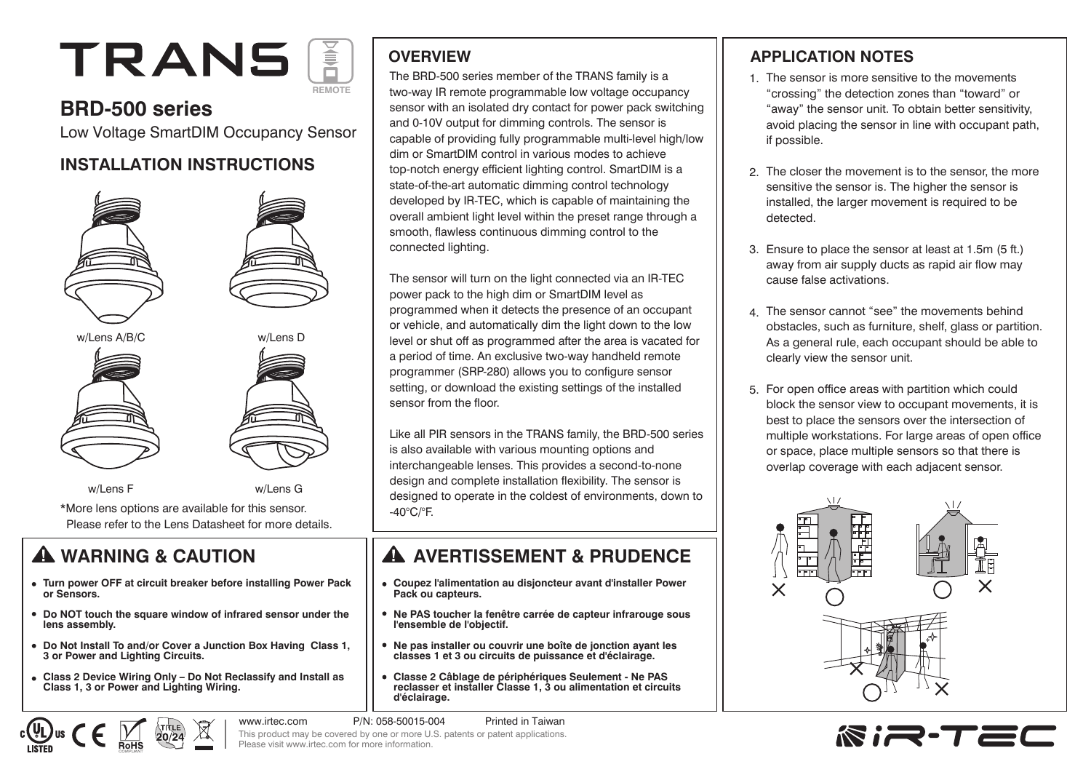# TRANS **REMOTE**

## **BRD-500 series**

Low Voltage SmartDIM Occupancy Sensor

### **INSTALLATION INSTRUCTIONS**





\*More lens options are available for this sensor. Please refer to the Lens Datasheet for more details.

- **Turn power OFF at circuit breaker before installing Power Pack or Sensors.**
- **Do NOT touch the square window of infrared sensor under the lens assembly.**
- **Do Not Install To and/or Cover a Junction Box Having Class 1, 3 or Power and Lighting Circuits.**
- **Class 2 Device Wiring Only Do Not Reclassify and Install as Class 1, 3 or Power and Lighting Wiring.**

#### **OVERVIEW**

The BRD-500 series member of the TRANS family is a two-way IR remote programmable low voltage occupancy sensor with an isolated dry contact for power pack switching and 0-10V output for dimming controls. The sensor is capable of providing fully programmable multi-level high/low dim or SmartDIM control in various modes to achieve top-notch energy efficient lighting control. SmartDIM is a state-of-the-art automatic dimming control technology developed by IR-TEC, which is capable of maintaining the overall ambient light level within the preset range through a smooth, flawless continuous dimming control to the connected lighting.

The sensor will turn on the light connected via an IR-TEC power pack to the high dim or SmartDIM level as programmed when it detects the presence of an occupant or vehicle, and automatically dim the light down to the low level or shut off as programmed after the area is vacated for a period of time. An exclusive two-way handheld remote programmer (SRP-280) allows you to configure sensor setting, or download the existing settings of the installed sensor from the floor.

Like all PIR sensors in the TRANS family, the BRD-500 series is also available with various mounting options and interchangeable lenses. This provides a second-to-none design and complete installation flexibility. The sensor is designed to operate in the coldest of environments, down to -40°C/°F.

## **A** WARNING & CAUTION **A** AVERTISSEMENT & PRUDENCE

- **Coupez l'alimentation au disjoncteur avant d'installer Power Pack ou capteurs.**
- **Ne PAS toucher la fenêtre carrée de capteur infrarouge sous l'ensemble de l'objectif.**
- **Ne pas installer ou couvrir une boîte de jonction ayant les classes 1 et 3 ou circuits de puissance et d'éclairage.**
- **Classe 2 Câblage de périphériques Seulement Ne PAS reclasser et installer Classe 1, 3 ou alimentation et circuits d'éclairage.**

www.irtec.com P/N: 058-50015-004 Printed in Taiwan This product may be covered by one or more U.S. patents or patent applications. Please visit www.irtec.com for more information.

#### **APPLICATION NOTES**

- 1. The sensor is more sensitive to the movements "crossing" the detection zones than "toward" or "away" the sensor unit. To obtain better sensitivity, avoid placing the sensor in line with occupant path, if possible.
- The closer the movement is to the sensor, the more 2. sensitive the sensor is. The higher the sensor is installed, the larger movement is required to be detected.
- Ensure to place the sensor at least at 1.5m (5 ft.) 3. away from air supply ducts as rapid air flow may cause false activations.
- The sensor cannot "see" the movements behind 4. obstacles, such as furniture, shelf, glass or partition. As a general rule, each occupant should be able to clearly view the sensor unit.
- 5. For open office areas with partition which could block the sensor view to occupant movements, it is best to place the sensors over the intersection of multiple workstations. For large areas of open office or space, place multiple sensors so that there is overlap coverage with each adjacent sensor.